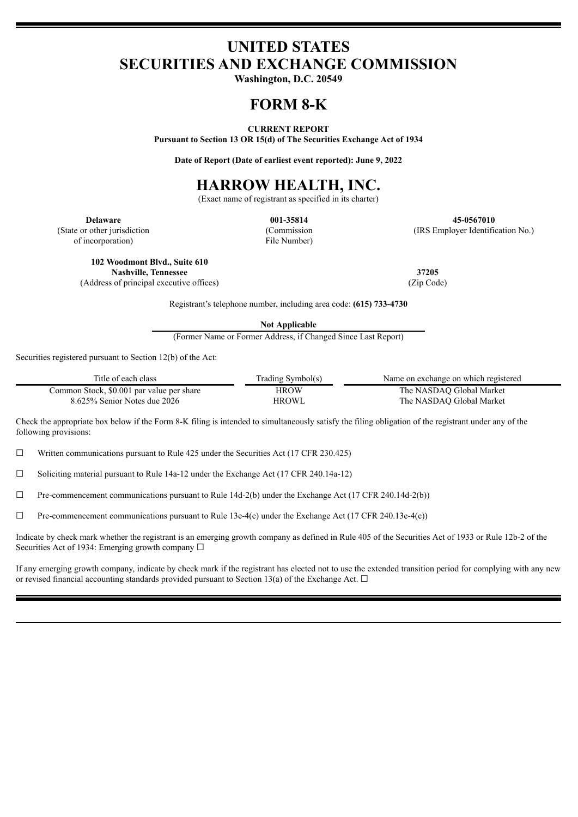## **UNITED STATES SECURITIES AND EXCHANGE COMMISSION**

**Washington, D.C. 20549**

### **FORM 8-K**

**CURRENT REPORT**

**Pursuant to Section 13 OR 15(d) of The Securities Exchange Act of 1934**

**Date of Report (Date of earliest event reported): June 9, 2022**

# **HARROW HEALTH, INC.**

(Exact name of registrant as specified in its charter)

(State or other jurisdiction of incorporation)

(Commission File Number)

**Delaware 001-35814 45-0567010** (IRS Employer Identification No.)

**102 Woodmont Blvd., Suite 610**

(Address of principal executive offices) (Zip Code)

Registrant's telephone number, including area code: **(615) 733-4730**

**Not Applicable**

(Former Name or Former Address, if Changed Since Last Report)

Securities registered pursuant to Section 12(b) of the Act:

| Title of each class                       | Trading Symbol(s) | Name on exchange on which registered |
|-------------------------------------------|-------------------|--------------------------------------|
| Common Stock, \$0.001 par value per share | HROW              | The NASDAO Global Market             |
| 8.625% Senior Notes due 2026              | HROWL             | The NASDAO Global Market             |

Check the appropriate box below if the Form 8-K filing is intended to simultaneously satisfy the filing obligation of the registrant under any of the following provisions:

 $\Box$  Written communications pursuant to Rule 425 under the Securities Act (17 CFR 230.425)

 $\Box$  Soliciting material pursuant to Rule 14a-12 under the Exchange Act (17 CFR 240.14a-12)

 $\Box$  Pre-commencement communications pursuant to Rule 14d-2(b) under the Exchange Act (17 CFR 240.14d-2(b))

 $\Box$  Pre-commencement communications pursuant to Rule 13e-4(c) under the Exchange Act (17 CFR 240.13e-4(c))

Indicate by check mark whether the registrant is an emerging growth company as defined in Rule 405 of the Securities Act of 1933 or Rule 12b-2 of the Securities Act of 1934: Emerging growth company  $\Box$ 

If any emerging growth company, indicate by check mark if the registrant has elected not to use the extended transition period for complying with any new or revised financial accounting standards provided pursuant to Section 13(a) of the Exchange Act.  $\Box$ 

**Nashville, Tennessee 37205**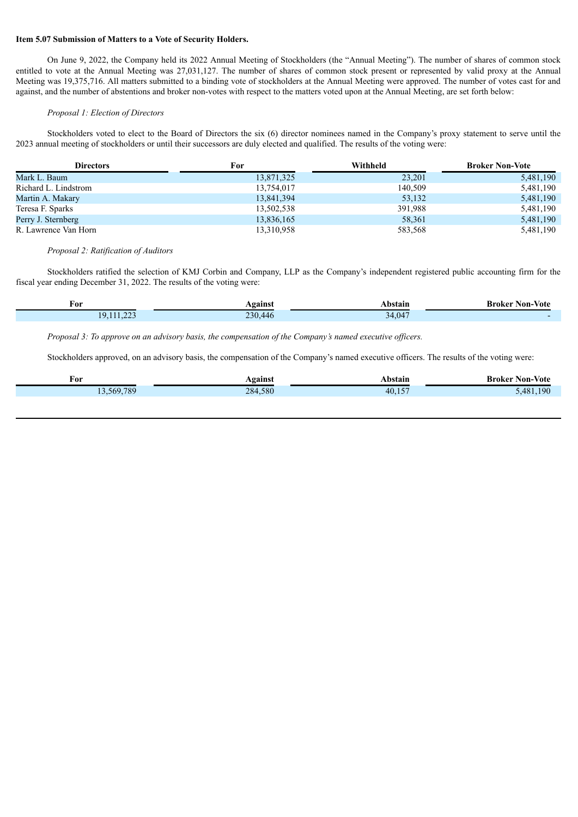#### **Item 5.07 Submission of Matters to a Vote of Security Holders.**

On June 9, 2022, the Company held its 2022 Annual Meeting of Stockholders (the "Annual Meeting"). The number of shares of common stock entitled to vote at the Annual Meeting was 27,031,127. The number of shares of common stock present or represented by valid proxy at the Annual Meeting was 19,375,716. All matters submitted to a binding vote of stockholders at the Annual Meeting were approved. The number of votes cast for and against, and the number of abstentions and broker non-votes with respect to the matters voted upon at the Annual Meeting, are set forth below:

#### *Proposal 1: Election of Directors*

Stockholders voted to elect to the Board of Directors the six (6) director nominees named in the Company's proxy statement to serve until the 2023 annual meeting of stockholders or until their successors are duly elected and qualified. The results of the voting were:

| <b>Directors</b>     | For        | Withheld | <b>Broker Non-Vote</b> |
|----------------------|------------|----------|------------------------|
| Mark L. Baum         | 13,871,325 | 23,201   | 5,481,190              |
| Richard L. Lindstrom | 13,754,017 | 140,509  | 5,481,190              |
| Martin A. Makary     | 13,841,394 | 53,132   | 5,481,190              |
| Teresa F. Sparks     | 13,502,538 | 391,988  | 5,481,190              |
| Perry J. Sternberg   | 13,836,165 | 58,361   | 5,481,190              |
| R. Lawrence Van Horn | 13,310,958 | 583,568  | 5,481,190              |

#### *Proposal 2: Ratification of Auditors*

Stockholders ratified the selection of KMJ Corbin and Company, LLP as the Company's independent registered public accounting firm for the fiscal year ending December 31, 2022. The results of the voting were:

| For                              | Against                                    | Abstain | <b>Broker Non-Vote</b><br>the contract of the contract of the contract of the contract of the contract of the contract of the contract of |
|----------------------------------|--------------------------------------------|---------|-------------------------------------------------------------------------------------------------------------------------------------------|
| 11.000<br>$\sim$<br>$\mathbf{u}$ | 220<br>$\Delta\Delta\sigma$<br>-11<br>. די | 34,047  |                                                                                                                                           |

*Proposal 3: To approve on an advisory basis, the compensation of the Company's named executive of icers.*

Stockholders approved, on an advisory basis, the compensation of the Company's named executive officers. The results of the voting were:

| For     | <b>\gainst</b> | hetain<br>маш<br>$\sim$ $\sim$ $\sim$ | -Broker Non-Vote                |
|---------|----------------|---------------------------------------|---------------------------------|
| 569.789 | 284,580        | $\overline{a}$<br>40.                 | $190^{\circ}$<br>$\overline{A}$ |